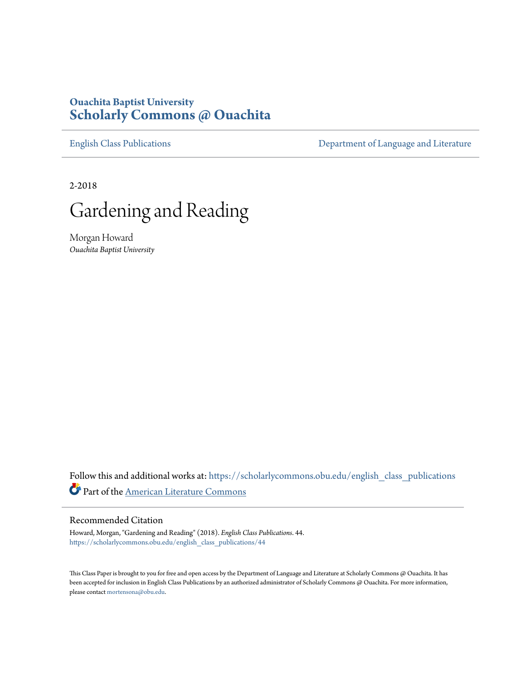## **Ouachita Baptist University [Scholarly Commons @ Ouachita](https://scholarlycommons.obu.edu?utm_source=scholarlycommons.obu.edu%2Fenglish_class_publications%2F44&utm_medium=PDF&utm_campaign=PDFCoverPages)**

[English Class Publications](https://scholarlycommons.obu.edu/english_class_publications?utm_source=scholarlycommons.obu.edu%2Fenglish_class_publications%2F44&utm_medium=PDF&utm_campaign=PDFCoverPages) **[Department of Language and Literature](https://scholarlycommons.obu.edu/english?utm_source=scholarlycommons.obu.edu%2Fenglish_class_publications%2F44&utm_medium=PDF&utm_campaign=PDFCoverPages)** 

2-2018



Morgan Howard *Ouachita Baptist University*

Follow this and additional works at: [https://scholarlycommons.obu.edu/english\\_class\\_publications](https://scholarlycommons.obu.edu/english_class_publications?utm_source=scholarlycommons.obu.edu%2Fenglish_class_publications%2F44&utm_medium=PDF&utm_campaign=PDFCoverPages) Part of the [American Literature Commons](http://network.bepress.com/hgg/discipline/441?utm_source=scholarlycommons.obu.edu%2Fenglish_class_publications%2F44&utm_medium=PDF&utm_campaign=PDFCoverPages)

## Recommended Citation

Howard, Morgan, "Gardening and Reading" (2018). *English Class Publications*. 44. [https://scholarlycommons.obu.edu/english\\_class\\_publications/44](https://scholarlycommons.obu.edu/english_class_publications/44?utm_source=scholarlycommons.obu.edu%2Fenglish_class_publications%2F44&utm_medium=PDF&utm_campaign=PDFCoverPages)

This Class Paper is brought to you for free and open access by the Department of Language and Literature at Scholarly Commons @ Ouachita. It has been accepted for inclusion in English Class Publications by an authorized administrator of Scholarly Commons @ Ouachita. For more information, please contact [mortensona@obu.edu.](mailto:mortensona@obu.edu)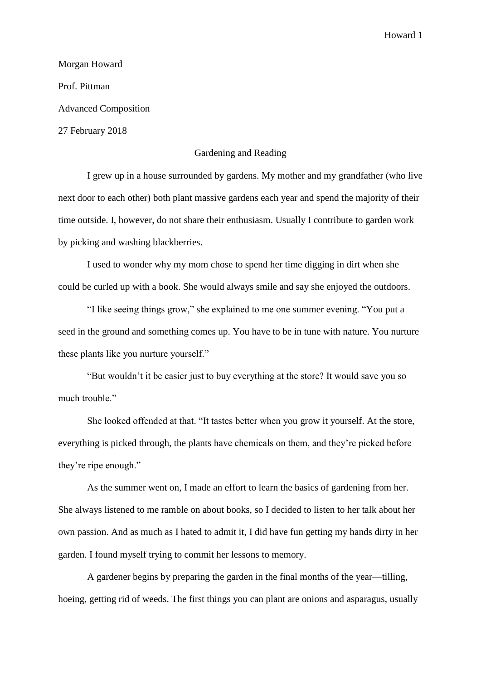Howard 1

Morgan Howard Prof. Pittman Advanced Composition 27 February 2018

## Gardening and Reading

I grew up in a house surrounded by gardens. My mother and my grandfather (who live next door to each other) both plant massive gardens each year and spend the majority of their time outside. I, however, do not share their enthusiasm. Usually I contribute to garden work by picking and washing blackberries.

I used to wonder why my mom chose to spend her time digging in dirt when she could be curled up with a book. She would always smile and say she enjoyed the outdoors.

"I like seeing things grow," she explained to me one summer evening. "You put a seed in the ground and something comes up. You have to be in tune with nature. You nurture these plants like you nurture yourself."

"But wouldn't it be easier just to buy everything at the store? It would save you so much trouble."

She looked offended at that. "It tastes better when you grow it yourself. At the store, everything is picked through, the plants have chemicals on them, and they're picked before they're ripe enough."

As the summer went on, I made an effort to learn the basics of gardening from her. She always listened to me ramble on about books, so I decided to listen to her talk about her own passion. And as much as I hated to admit it, I did have fun getting my hands dirty in her garden. I found myself trying to commit her lessons to memory.

A gardener begins by preparing the garden in the final months of the year—tilling, hoeing, getting rid of weeds. The first things you can plant are onions and asparagus, usually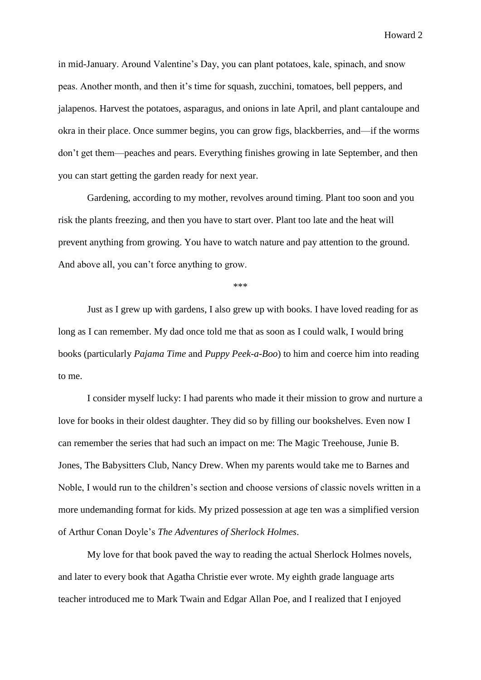Howard 2

in mid-January. Around Valentine's Day, you can plant potatoes, kale, spinach, and snow peas. Another month, and then it's time for squash, zucchini, tomatoes, bell peppers, and jalapenos. Harvest the potatoes, asparagus, and onions in late April, and plant cantaloupe and okra in their place. Once summer begins, you can grow figs, blackberries, and—if the worms don't get them—peaches and pears. Everything finishes growing in late September, and then you can start getting the garden ready for next year.

Gardening, according to my mother, revolves around timing. Plant too soon and you risk the plants freezing, and then you have to start over. Plant too late and the heat will prevent anything from growing. You have to watch nature and pay attention to the ground. And above all, you can't force anything to grow.

\*\*\*

Just as I grew up with gardens, I also grew up with books. I have loved reading for as long as I can remember. My dad once told me that as soon as I could walk, I would bring books (particularly *Pajama Time* and *Puppy Peek-a-Boo*) to him and coerce him into reading to me.

I consider myself lucky: I had parents who made it their mission to grow and nurture a love for books in their oldest daughter. They did so by filling our bookshelves. Even now I can remember the series that had such an impact on me: The Magic Treehouse, Junie B. Jones, The Babysitters Club, Nancy Drew. When my parents would take me to Barnes and Noble, I would run to the children's section and choose versions of classic novels written in a more undemanding format for kids. My prized possession at age ten was a simplified version of Arthur Conan Doyle's *The Adventures of Sherlock Holmes*.

My love for that book paved the way to reading the actual Sherlock Holmes novels, and later to every book that Agatha Christie ever wrote. My eighth grade language arts teacher introduced me to Mark Twain and Edgar Allan Poe, and I realized that I enjoyed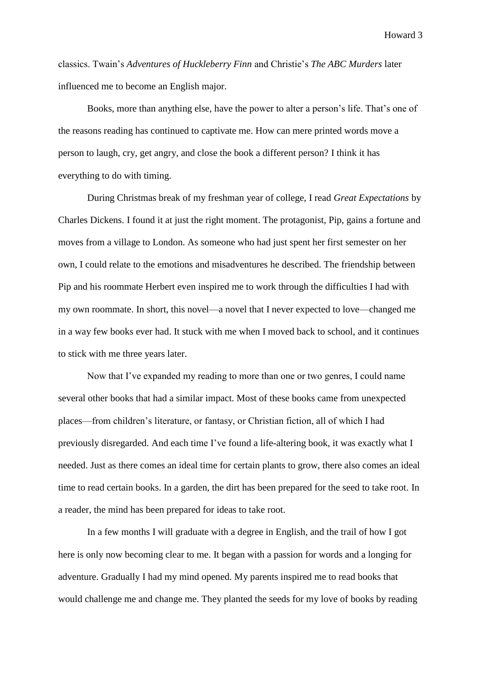Howard 3

classics. Twain's *Adventures of Huckleberry Finn* and Christie's *The ABC Murders* later influenced me to become an English major.

Books, more than anything else, have the power to alter a person's life. That's one of the reasons reading has continued to captivate me. How can mere printed words move a person to laugh, cry, get angry, and close the book a different person? I think it has everything to do with timing.

During Christmas break of my freshman year of college, I read *Great Expectations* by Charles Dickens. I found it at just the right moment. The protagonist, Pip, gains a fortune and moves from a village to London. As someone who had just spent her first semester on her own, I could relate to the emotions and misadventures he described. The friendship between Pip and his roommate Herbert even inspired me to work through the difficulties I had with my own roommate. In short, this novel—a novel that I never expected to love—changed me in a way few books ever had. It stuck with me when I moved back to school, and it continues to stick with me three years later.

Now that I've expanded my reading to more than one or two genres, I could name several other books that had a similar impact. Most of these books came from unexpected places—from children's literature, or fantasy, or Christian fiction, all of which I had previously disregarded. And each time I've found a life-altering book, it was exactly what I needed. Just as there comes an ideal time for certain plants to grow, there also comes an ideal time to read certain books. In a garden, the dirt has been prepared for the seed to take root. In a reader, the mind has been prepared for ideas to take root.

In a few months I will graduate with a degree in English, and the trail of how I got here is only now becoming clear to me. It began with a passion for words and a longing for adventure. Gradually I had my mind opened. My parents inspired me to read books that would challenge me and change me. They planted the seeds for my love of books by reading